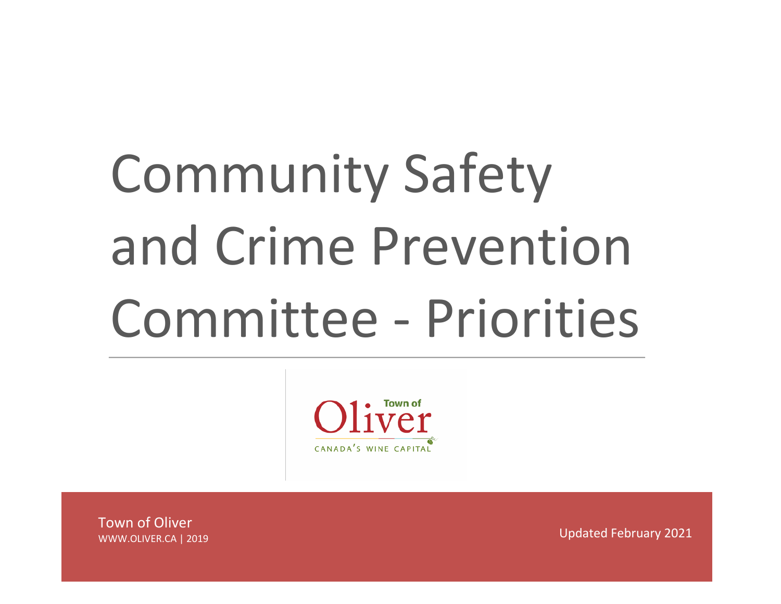# Community Safety and Crime Prevention Committee - Priorities



Town of Oliver WWW.OLIVER.CA | 2019

Updated February 2021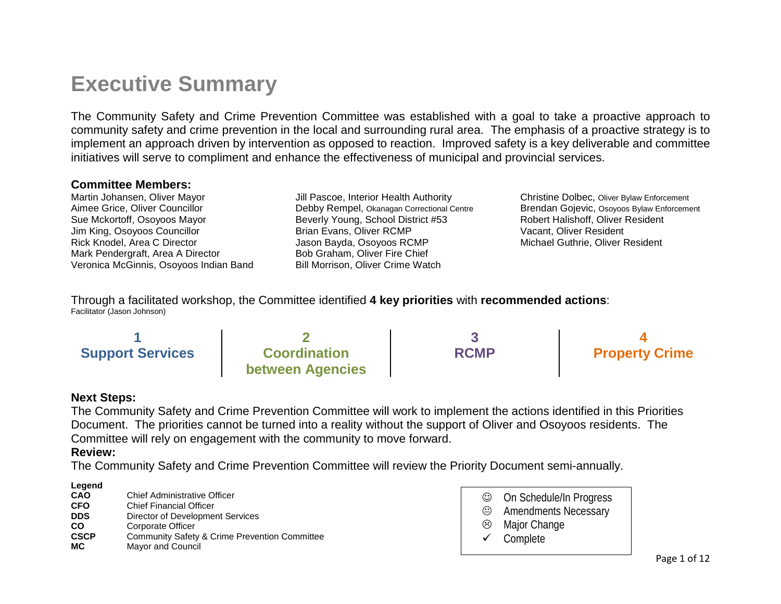## **Executive Summary**

The Community Safety and Crime Prevention Committee was established with a goal to take a proactive approach to community safety and crime prevention in the local and surrounding rural area. The emphasis of a proactive strategy is to implement an approach driven by intervention as opposed to reaction. Improved safety is a key deliverable and committee initiatives will serve to compliment and enhance the effectiveness of municipal and provincial services.

#### **Committee Members:**

Martin Johansen, Oliver Mayor Aimee Grice, Oliver Councillor Sue Mckortoff, Osoyoos Mayor Jim King, Osoyoos Councillor Rick Knodel, Area C Director Mark Pendergraft, Area A Director Veronica McGinnis, Osoyoos Indian Band

Jill Pascoe, Interior Health Authority Debby Rempel, Okanagan Correctional Centre Beverly Young, School District #53 Brian Evans, Oliver RCMP Jason Bayda, Osoyoos RCMP Bob Graham, Oliver Fire Chief Bill Morrison, Oliver Crime Watch

Christine Dolbec, Oliver Bylaw Enforcement Brendan Gojevic, Osoyoos Bylaw Enforcement Robert Halishoff, Oliver Resident Vacant, Oliver Resident Michael Guthrie, Oliver Resident

Through a facilitated workshop, the Committee identified **4 key priorities** with **recommended actions**: Facilitator (Jason Johnson)

| <b>Support Services</b> | <b>Coordination</b>     | <b>RCMP</b> | <b>Property Crime</b> |
|-------------------------|-------------------------|-------------|-----------------------|
|                         | <b>between Agencies</b> |             |                       |

#### **Next Steps:**

The Community Safety and Crime Prevention Committee will work to implement the actions identified in this Priorities Document. The priorities cannot be turned into a reality without the support of Oliver and Osoyoos residents. The Committee will rely on engagement with the community to move forward.

#### **Review:**

The Community Safety and Crime Prevention Committee will review the Priority Document semi-annually.

#### **Legend**

| CAO         | <b>Chief Administrative Officer</b>                      |
|-------------|----------------------------------------------------------|
| <b>CFO</b>  | <b>Chief Financial Officer</b>                           |
| <b>DDS</b>  | Director of Development Services                         |
| CO          | Corporate Officer                                        |
| <b>CSCP</b> | <b>Community Safety &amp; Crime Prevention Committee</b> |
| МC          | Mayor and Council                                        |

| $\odot$      | On Schedule/In Progress     |
|--------------|-----------------------------|
| $\odot$      | <b>Amendments Necessary</b> |
| $\odot$      | Major Change                |
| $\checkmark$ | Complete                    |
|              |                             |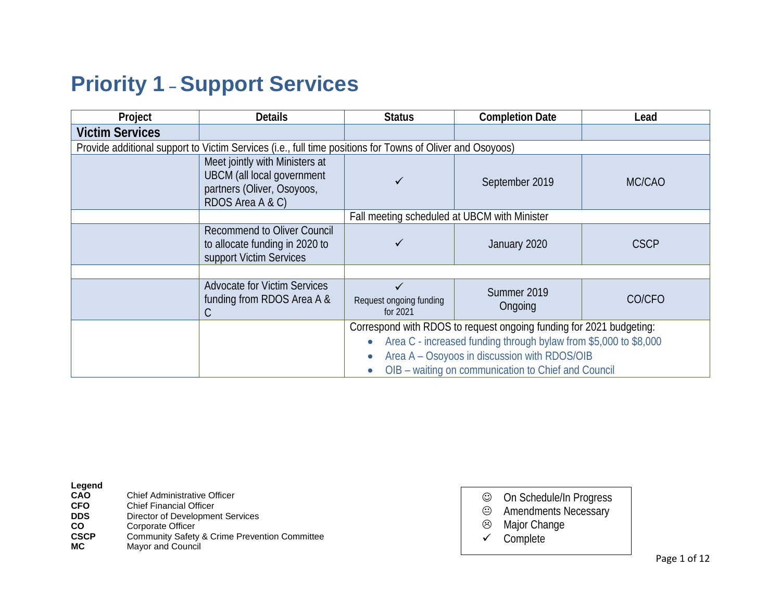## **Priority 1 – Support Services**

| Project                | <b>Details</b>                                                                                                        | <b>Status</b>                                | <b>Completion Date</b>                                              | Lead        |
|------------------------|-----------------------------------------------------------------------------------------------------------------------|----------------------------------------------|---------------------------------------------------------------------|-------------|
| <b>Victim Services</b> |                                                                                                                       |                                              |                                                                     |             |
|                        | Provide additional support to Victim Services (i.e., full time positions for Towns of Oliver and Osoyoos)             |                                              |                                                                     |             |
|                        | Meet jointly with Ministers at<br><b>UBCM</b> (all local government<br>partners (Oliver, Osoyoos,<br>RDOS Area A & C) |                                              | September 2019                                                      | MC/CAO      |
|                        |                                                                                                                       | Fall meeting scheduled at UBCM with Minister |                                                                     |             |
|                        | <b>Recommend to Oliver Council</b><br>to allocate funding in 2020 to<br>support Victim Services                       |                                              | January 2020                                                        | <b>CSCP</b> |
|                        |                                                                                                                       |                                              |                                                                     |             |
|                        | <b>Advocate for Victim Services</b><br>funding from RDOS Area A &<br>С                                                | Request ongoing funding<br>for 2021          | Summer 2019<br>Ongoing                                              | CO/CFO      |
|                        |                                                                                                                       |                                              | Correspond with RDOS to request ongoing funding for 2021 budgeting: |             |
|                        |                                                                                                                       |                                              | Area C - increased funding through bylaw from \$5,000 to \$8,000    |             |
|                        |                                                                                                                       | Area A - Osoyoos in discussion with RDOS/OIB |                                                                     |             |
|                        |                                                                                                                       |                                              | OIB - waiting on communication to Chief and Council                 |             |

- **CFO** Chief Financial Officer<br> **DDS** Director of Developmer
- **DDS** Director of Development Services<br> **CO** Corporate Officer
- **CO** Corporate Officer<br> **CSCP** Community Safety
- **CSCP** Community Safety & Crime Prevention Committee **MC** Mavor and Council
- **Mayor and Council**
- On Schedule/In Progress
- Amendments Necessary
- Major Change
- $\checkmark$  Complete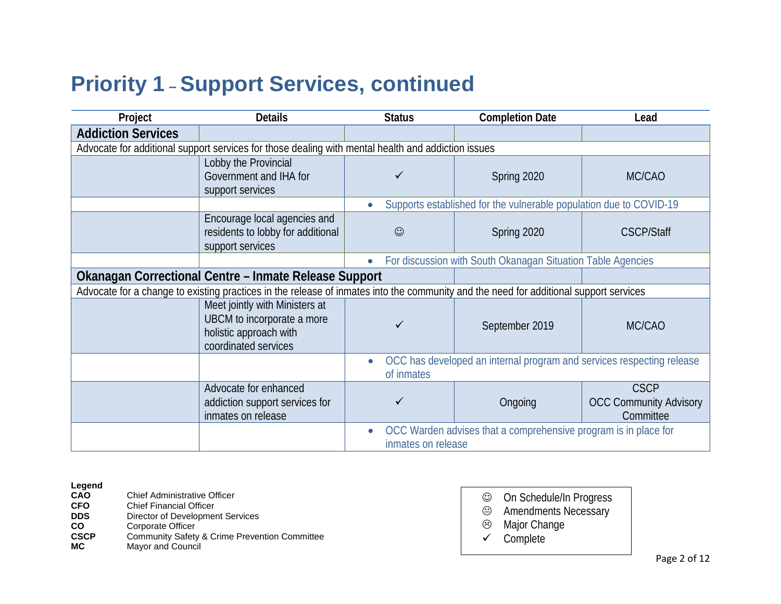## **Priority 1 – Support Services, continued**

| Project                   | <b>Details</b>                                                                                                                        | <b>Status</b>      | <b>Completion Date</b>                                                | Lead                                                      |
|---------------------------|---------------------------------------------------------------------------------------------------------------------------------------|--------------------|-----------------------------------------------------------------------|-----------------------------------------------------------|
| <b>Addiction Services</b> |                                                                                                                                       |                    |                                                                       |                                                           |
|                           | Advocate for additional support services for those dealing with mental health and addiction issues                                    |                    |                                                                       |                                                           |
|                           | Lobby the Provincial<br>Government and IHA for<br>support services                                                                    |                    | Spring 2020                                                           | MC/CAO                                                    |
|                           |                                                                                                                                       |                    | Supports established for the vulnerable population due to COVID-19    |                                                           |
|                           | Encourage local agencies and<br>residents to lobby for additional<br>support services                                                 | $\odot$            | Spring 2020                                                           | <b>CSCP/Staff</b>                                         |
|                           |                                                                                                                                       |                    | For discussion with South Okanagan Situation Table Agencies           |                                                           |
|                           | Okanagan Correctional Centre – Inmate Release Support                                                                                 |                    |                                                                       |                                                           |
|                           | Advocate for a change to existing practices in the release of inmates into the community and the need for additional support services |                    |                                                                       |                                                           |
|                           | Meet jointly with Ministers at<br>UBCM to incorporate a more<br>holistic approach with<br>coordinated services                        | ✓                  | September 2019                                                        | MC/CAO                                                    |
|                           |                                                                                                                                       | of inmates         | OCC has developed an internal program and services respecting release |                                                           |
|                           | Advocate for enhanced<br>addiction support services for<br>inmates on release                                                         | ✓                  | Ongoing                                                               | <b>CSCP</b><br><b>OCC Community Advisory</b><br>Committee |
|                           |                                                                                                                                       | inmates on release | OCC Warden advises that a comprehensive program is in place for       |                                                           |

## **Legend**

- **CFO** Chief Financial Officer<br> **DDS** Director of Developmer
- **DDS** Director of Development Services<br> **CO** Corporate Officer
- **CO** Corporate Officer<br> **CSCP** Community Safety
- **CSCP** Community Safety & Crime Prevention Committee **MC** Mavor and Council
- **Mayor and Council**
- On Schedule/In Progress
- Amendments Necessary
- Major Change
- $\checkmark$  Complete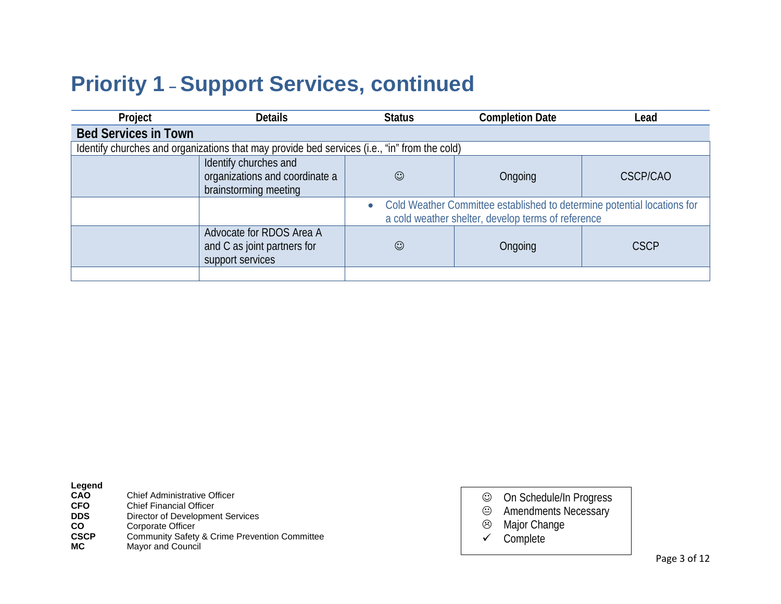# **Priority 1 – Support Services, continued**

| Project                     | <b>Details</b>                                                                               | <b>Status</b> | <b>Completion Date</b>                                                                                                        | Lead            |
|-----------------------------|----------------------------------------------------------------------------------------------|---------------|-------------------------------------------------------------------------------------------------------------------------------|-----------------|
| <b>Bed Services in Town</b> |                                                                                              |               |                                                                                                                               |                 |
|                             | Identify churches and organizations that may provide bed services (i.e., "in" from the cold) |               |                                                                                                                               |                 |
|                             | Identify churches and<br>organizations and coordinate a<br>brainstorming meeting             | $\odot$       | Ongoing                                                                                                                       | <b>CSCP/CAO</b> |
|                             |                                                                                              |               | Cold Weather Committee established to determine potential locations for<br>a cold weather shelter, develop terms of reference |                 |
|                             | Advocate for RDOS Area A<br>and C as joint partners for<br>support services                  | $\odot$       | Ongoing                                                                                                                       | <b>CSCP</b>     |
|                             |                                                                                              |               |                                                                                                                               |                 |

| Legend                                                                          |                                                                                                                                                                                               |                  |                                                                                    |
|---------------------------------------------------------------------------------|-----------------------------------------------------------------------------------------------------------------------------------------------------------------------------------------------|------------------|------------------------------------------------------------------------------------|
| <b>CAO</b><br><b>CFO</b><br><b>DDS</b><br><b>CO</b><br><b>CSCP</b><br><b>MC</b> | Chief Administrative Officer<br><b>Chief Financial Officer</b><br>Director of Development Services<br>Corporate Officer<br>Community Safety & Crime Prevention Committee<br>Mayor and Council | ☺<br>☺<br>☺<br>✓ | On Schedule/In Progress<br><b>Amendments Necessary</b><br>Major Change<br>Complete |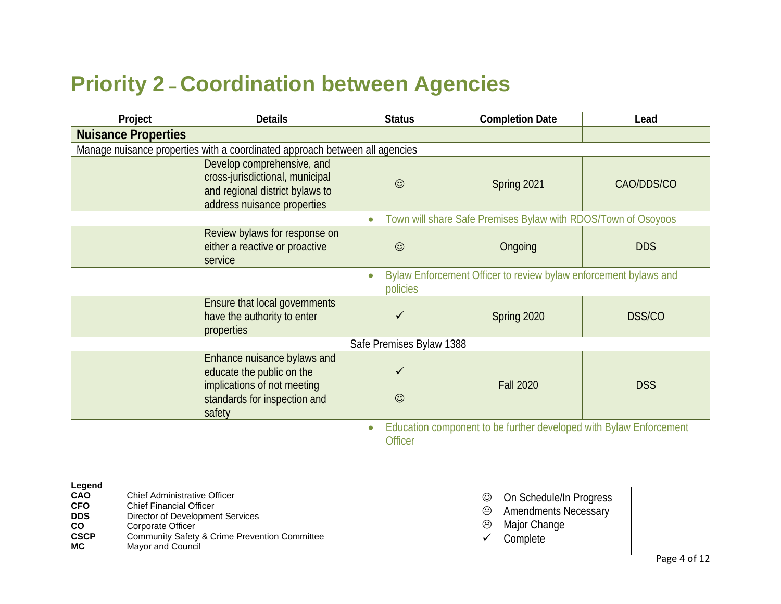## **Priority 2 – Coordination between Agencies**

| Project                    | <b>Details</b>                                                                                                                    | <b>Status</b>            | <b>Completion Date</b>                                             | Lead          |
|----------------------------|-----------------------------------------------------------------------------------------------------------------------------------|--------------------------|--------------------------------------------------------------------|---------------|
| <b>Nuisance Properties</b> |                                                                                                                                   |                          |                                                                    |               |
|                            | Manage nuisance properties with a coordinated approach between all agencies                                                       |                          |                                                                    |               |
|                            | Develop comprehensive, and<br>cross-jurisdictional, municipal<br>and regional district bylaws to<br>address nuisance properties   | $\odot$                  | Spring 2021                                                        | CAO/DDS/CO    |
|                            |                                                                                                                                   | $\bullet$                | Town will share Safe Premises Bylaw with RDOS/Town of Osoyoos      |               |
|                            | Review bylaws for response on<br>either a reactive or proactive<br>service                                                        | $\odot$                  | Ongoing                                                            | <b>DDS</b>    |
|                            |                                                                                                                                   | policies                 | Bylaw Enforcement Officer to review bylaw enforcement bylaws and   |               |
|                            | Ensure that local governments<br>have the authority to enter<br>properties                                                        | ✓                        | Spring 2020                                                        | <b>DSS/CO</b> |
|                            |                                                                                                                                   | Safe Premises Bylaw 1388 |                                                                    |               |
|                            | Enhance nuisance bylaws and<br>educate the public on the<br>implications of not meeting<br>standards for inspection and<br>safety | $\odot$                  | <b>Fall 2020</b>                                                   | <b>DSS</b>    |
|                            |                                                                                                                                   | <b>Officer</b>           | Education component to be further developed with Bylaw Enforcement |               |

## **Legend**

- **CFO** Chief Financial Officer<br> **DDS** Director of Developmer
- **DDS** Director of Development Services<br> **CO** Corporate Officer
- **CO** Corporate Officer<br> **CSCP** Community Safety
- **CSCP** Community Safety & Crime Prevention Committee **MC** Mavor and Council
- **Mayor and Council**
- On Schedule/In Progress
- Amendments Necessary
- Major Change
- $\checkmark$  Complete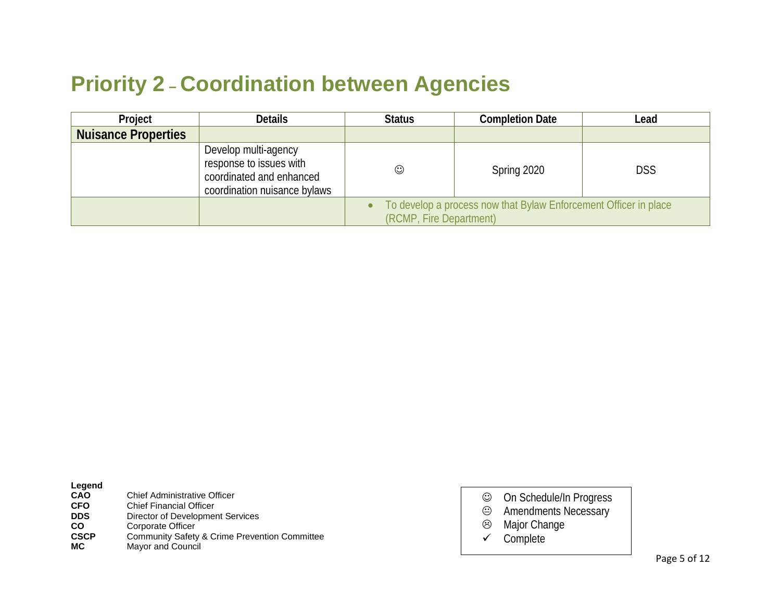## **Priority 2 – Coordination between Agencies**

| Project                    | <b>Details</b>                                                                                              | <b>Status</b>           | <b>Completion Date</b>                                           | Lead |
|----------------------------|-------------------------------------------------------------------------------------------------------------|-------------------------|------------------------------------------------------------------|------|
| <b>Nuisance Properties</b> |                                                                                                             |                         |                                                                  |      |
|                            | Develop multi-agency<br>response to issues with<br>coordinated and enhanced<br>coordination nuisance bylaws | $\odot$                 | Spring 2020                                                      | DSS  |
|                            |                                                                                                             | (RCMP, Fire Department) | To develop a process now that Bylaw Enforcement Officer in place |      |

| ١<br>-<br>ı |
|-------------|
|-------------|

| <b>Chief Administrative Officer</b>                      |
|----------------------------------------------------------|
| <b>Chief Financial Officer</b>                           |
| Director of Development Services                         |
| Corporate Officer                                        |
| <b>Community Safety &amp; Crime Prevention Committee</b> |
| Mayor and Council                                        |
|                                                          |

- On Schedule/In Progress Amendments Necessary
- Major Change
- $\checkmark$  Complete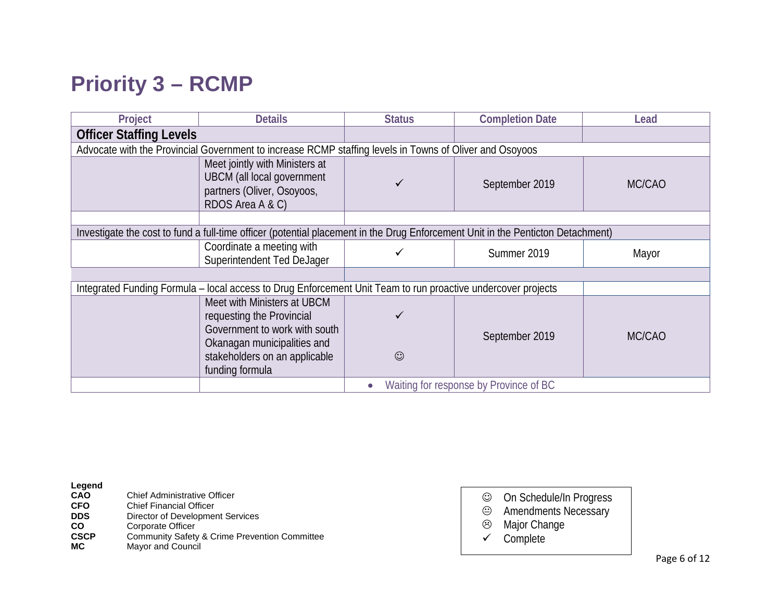# **Priority 3 – RCMP**

| Project                                                                                                                         | <b>Details</b>                                                                                                        | <b>Status</b> | <b>Completion Date</b> | Lead   |
|---------------------------------------------------------------------------------------------------------------------------------|-----------------------------------------------------------------------------------------------------------------------|---------------|------------------------|--------|
| <b>Officer Staffing Levels</b>                                                                                                  |                                                                                                                       |               |                        |        |
|                                                                                                                                 | Advocate with the Provincial Government to increase RCMP staffing levels in Towns of Oliver and Osoyoos               |               |                        |        |
|                                                                                                                                 | Meet jointly with Ministers at<br><b>UBCM</b> (all local government<br>partners (Oliver, Osoyoos,<br>RDOS Area A & C) | ✓             | September 2019         | MC/CAO |
|                                                                                                                                 |                                                                                                                       |               |                        |        |
| Investigate the cost to fund a full-time officer (potential placement in the Drug Enforcement Unit in the Penticton Detachment) |                                                                                                                       |               |                        |        |
|                                                                                                                                 | Coordinate a meeting with<br>Superintendent Ted DeJager                                                               | $\checkmark$  | Summer 2019            | Mayor  |
|                                                                                                                                 |                                                                                                                       |               |                        |        |
|                                                                                                                                 | Integrated Funding Formula - local access to Drug Enforcement Unit Team to run proactive undercover projects          |               |                        |        |
| Meet with Ministers at UBCM<br>requesting the Provincial<br>Government to work with south                                       |                                                                                                                       |               | September 2019         | MC/CAO |
|                                                                                                                                 | Okanagan municipalities and<br>stakeholders on an applicable<br>funding formula                                       | $\odot$       |                        |        |
| Waiting for response by Province of BC                                                                                          |                                                                                                                       |               |                        |        |

| Legend     |                                     |
|------------|-------------------------------------|
| <b>CAO</b> | <b>Chief Administrative Officer</b> |
| <b>CEO</b> | Chief Einanaial Officer             |

- **CFO** Chief Financial Officer<br> **DDS** Director of Developmer
- **DDS** Director of Development Services<br> **CO** Corporate Officer
- **CO** Corporate Officer<br> **CSCP** Community Safety
- **CSCP** Community Safety & Crime Prevention Committee **MC** Mavor and Council
- **Mayor and Council**
- On Schedule/In Progress
- <sup>●</sup> Amendments Necessary<br><sup>◎</sup> Major Change
- Major Change
- $\checkmark$  Complete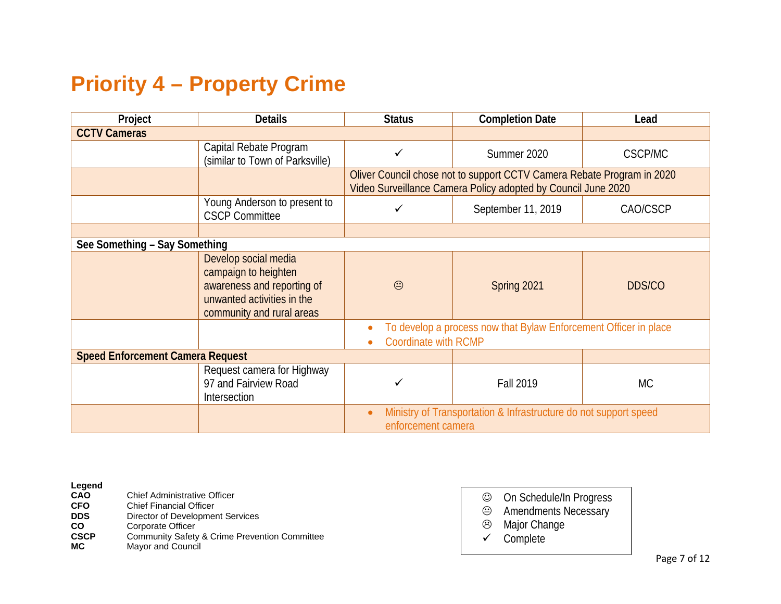## **Priority 4 – Property Crime**

| Project                                 | <b>Details</b>                                                                                                                        | <b>Status</b>               | <b>Completion Date</b>                                                                                                                  | Lead           |
|-----------------------------------------|---------------------------------------------------------------------------------------------------------------------------------------|-----------------------------|-----------------------------------------------------------------------------------------------------------------------------------------|----------------|
| <b>CCTV Cameras</b>                     |                                                                                                                                       |                             |                                                                                                                                         |                |
|                                         | Capital Rebate Program<br>(similar to Town of Parksville)                                                                             | ✓                           | Summer 2020                                                                                                                             | <b>CSCP/MC</b> |
|                                         |                                                                                                                                       |                             | Oliver Council chose not to support CCTV Camera Rebate Program in 2020<br>Video Surveillance Camera Policy adopted by Council June 2020 |                |
|                                         | Young Anderson to present to<br><b>CSCP Committee</b>                                                                                 | ✓                           | September 11, 2019                                                                                                                      | CAO/CSCP       |
|                                         |                                                                                                                                       |                             |                                                                                                                                         |                |
| See Something - Say Something           |                                                                                                                                       |                             |                                                                                                                                         |                |
|                                         | Develop social media<br>campaign to heighten<br>awareness and reporting of<br>unwanted activities in the<br>community and rural areas | $\odot$                     | Spring 2021                                                                                                                             | <b>DDS/CO</b>  |
|                                         |                                                                                                                                       | <b>Coordinate with RCMP</b> | To develop a process now that Bylaw Enforcement Officer in place                                                                        |                |
| <b>Speed Enforcement Camera Request</b> |                                                                                                                                       |                             |                                                                                                                                         |                |
|                                         | Request camera for Highway<br>97 and Fairview Road<br>Intersection                                                                    | ✓                           | <b>Fall 2019</b>                                                                                                                        | МC             |
|                                         |                                                                                                                                       | enforcement camera          | Ministry of Transportation & Infrastructure do not support speed                                                                        |                |

## **Legend**

- 
- **CFO** Chief Financial Officer<br> **DDS** Director of Developmer **DDS** Director of Development Services<br> **CO** Corporate Officer
- **CO** Corporate Officer<br> **CSCP** Community Safety
- **CSCP** Community Safety & Crime Prevention Committee **MC** Mavor and Council
- **Mayor and Council**
- On Schedule/In Progress
- <sup>●</sup> Amendments Necessary<br><sup>◎</sup> Major Change
- Major Change
- $\checkmark$  Complete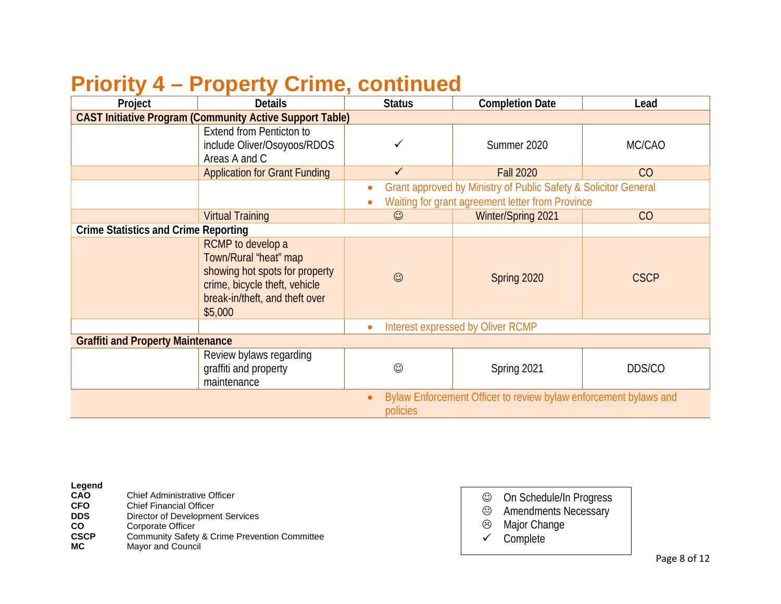## **Priority 4 – Property Crime, continued**

| Project                                                         | <b>Details</b>                                                                                                                                             | <b>Status</b>                                                                                                       | <b>Completion Date</b>                                           | Lead        |
|-----------------------------------------------------------------|------------------------------------------------------------------------------------------------------------------------------------------------------------|---------------------------------------------------------------------------------------------------------------------|------------------------------------------------------------------|-------------|
| <b>CAST Initiative Program (Community Active Support Table)</b> |                                                                                                                                                            |                                                                                                                     |                                                                  |             |
|                                                                 | <b>Extend from Penticton to</b><br>include Oliver/Osoyoos/RDOS<br>Areas A and C                                                                            | ✓                                                                                                                   | Summer 2020                                                      | MC/CAO      |
|                                                                 | <b>Application for Grant Funding</b>                                                                                                                       | $\checkmark$                                                                                                        | <b>Fall 2020</b>                                                 | CO          |
|                                                                 |                                                                                                                                                            | Grant approved by Ministry of Public Safety & Solicitor General<br>Waiting for grant agreement letter from Province |                                                                  |             |
|                                                                 | <b>Virtual Training</b>                                                                                                                                    | $\odot$                                                                                                             | Winter/Spring 2021                                               | CO          |
| <b>Crime Statistics and Crime Reporting</b>                     |                                                                                                                                                            |                                                                                                                     |                                                                  |             |
|                                                                 | RCMP to develop a<br>Town/Rural "heat" map<br>showing hot spots for property<br>crime, bicycle theft, vehicle<br>break-in/theft, and theft over<br>\$5,000 | $\odot$                                                                                                             | Spring 2020                                                      | <b>CSCP</b> |
|                                                                 | Interest expressed by Oliver RCMP<br>$\bullet$                                                                                                             |                                                                                                                     |                                                                  |             |
| <b>Graffiti and Property Maintenance</b>                        |                                                                                                                                                            |                                                                                                                     |                                                                  |             |
|                                                                 | Review bylaws regarding<br>graffiti and property<br>maintenance                                                                                            | $\odot$                                                                                                             | Spring 2021                                                      | DDS/CO      |
|                                                                 |                                                                                                                                                            | policies                                                                                                            | Bylaw Enforcement Officer to review bylaw enforcement bylaws and |             |

| п<br>⇔<br>r<br>ı |
|------------------|
|------------------|

- **CFO** Chief Financial Officer<br> **DDS** Director of Developmer
- **DDS** Director of Development Services<br> **CO** Corporate Officer
- **CO** Corporate Officer<br> **CSCP** Community Safety
- **CSCP** Community Safety & Crime Prevention Committee **MC** Mavor and Council
- **Mayor and Council**
- On Schedule/In Progress
- Amendments Necessary
- Major Change
- $\checkmark$  Complete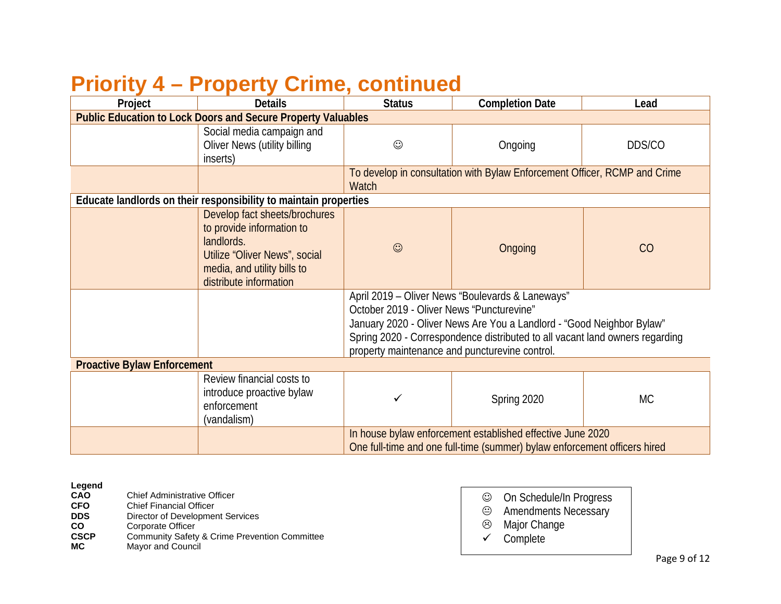# **Priority 4 – Property Crime, continued**

| Project                            | <b>Details</b>                                                                                                                                                     | <b>Status</b>                             | <b>Completion Date</b>                                                                                                                                                                                                                                      | Lead   |  |
|------------------------------------|--------------------------------------------------------------------------------------------------------------------------------------------------------------------|-------------------------------------------|-------------------------------------------------------------------------------------------------------------------------------------------------------------------------------------------------------------------------------------------------------------|--------|--|
|                                    | <b>Public Education to Lock Doors and Secure Property Valuables</b>                                                                                                |                                           |                                                                                                                                                                                                                                                             |        |  |
|                                    | Social media campaign and<br><b>Oliver News (utility billing</b><br>inserts)                                                                                       | $\odot$                                   | Ongoing                                                                                                                                                                                                                                                     | DDS/CO |  |
|                                    |                                                                                                                                                                    | <b>Watch</b>                              | To develop in consultation with Bylaw Enforcement Officer, RCMP and Crime                                                                                                                                                                                   |        |  |
|                                    | Educate landlords on their responsibility to maintain properties                                                                                                   |                                           |                                                                                                                                                                                                                                                             |        |  |
|                                    | Develop fact sheets/brochures<br>to provide information to<br>landlords.<br>Utilize "Oliver News", social<br>media, and utility bills to<br>distribute information | $\odot$                                   | Ongoing                                                                                                                                                                                                                                                     | CO     |  |
|                                    |                                                                                                                                                                    | October 2019 - Oliver News "Puncturevine" | April 2019 - Oliver News "Boulevards & Laneways"<br>January 2020 - Oliver News Are You a Landlord - "Good Neighbor Bylaw"<br>Spring 2020 - Correspondence distributed to all vacant land owners regarding<br>property maintenance and puncturevine control. |        |  |
| <b>Proactive Bylaw Enforcement</b> |                                                                                                                                                                    |                                           |                                                                                                                                                                                                                                                             |        |  |
|                                    | Review financial costs to<br>introduce proactive bylaw<br>enforcement<br>(vandalism)                                                                               | ✓                                         | Spring 2020                                                                                                                                                                                                                                                 | МC     |  |
|                                    |                                                                                                                                                                    |                                           | In house bylaw enforcement established effective June 2020<br>One full-time and one full-time (summer) bylaw enforcement officers hired                                                                                                                     |        |  |

## **Legend**

- **CFO** Chief Financial Officer<br> **DDS** Director of Development
- **DDS** Director of Development Services<br> **CO** Corporate Officer
- **CO** Corporate Officer<br> **CSCP** Community Safety
- **CSCP** Community Safety & Crime Prevention Committee<br> **MC** Mavor and Council
- **Mayor and Council**
- On Schedule/In Progress Amendments Necessary Major Change
	- $\checkmark$  Complete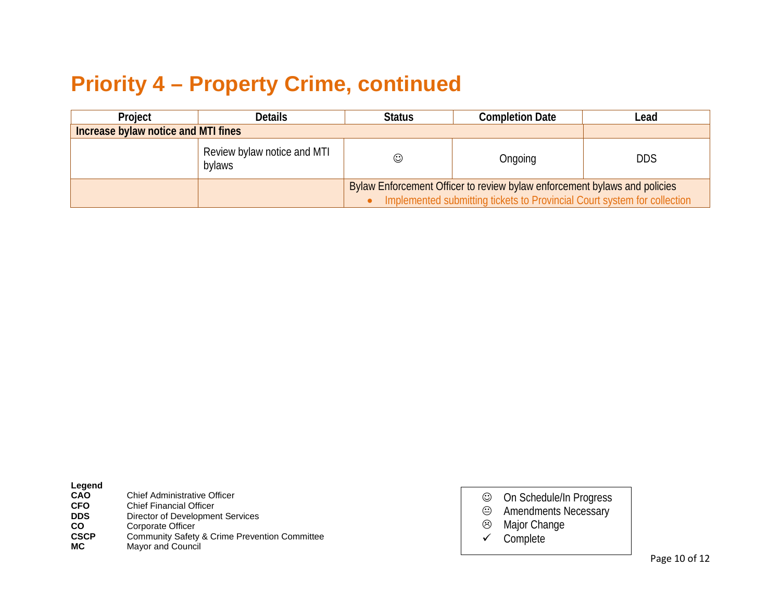## **Priority 4 – Property Crime, continued**

| Project                             | <b>Details</b>                        | <b>Status</b>                                                                                                                                         | <b>Completion Date</b> | Lead       |  |
|-------------------------------------|---------------------------------------|-------------------------------------------------------------------------------------------------------------------------------------------------------|------------------------|------------|--|
| Increase bylaw notice and MTI fines |                                       |                                                                                                                                                       |                        |            |  |
|                                     | Review bylaw notice and MTI<br>bylaws | ☺                                                                                                                                                     | Ongoing                | <b>DDS</b> |  |
|                                     |                                       | Bylaw Enforcement Officer to review bylaw enforcement bylaws and policies<br>Implemented submitting tickets to Provincial Court system for collection |                        |            |  |

| ı.<br>ı≏<br>п<br>ı |
|--------------------|
|--------------------|

| CAO         | <b>Chief Administrative Officer</b>                      |
|-------------|----------------------------------------------------------|
| <b>CFO</b>  | <b>Chief Financial Officer</b>                           |
| <b>DDS</b>  | Director of Development Services                         |
| <b>CO</b>   | Corporate Officer                                        |
| <b>CSCP</b> | <b>Community Safety &amp; Crime Prevention Committee</b> |
| MC.         | Mayor and Council                                        |
|             |                                                          |

- On Schedule/In Progress Amendments Necessary
- Major Change
- $\checkmark$  Complete